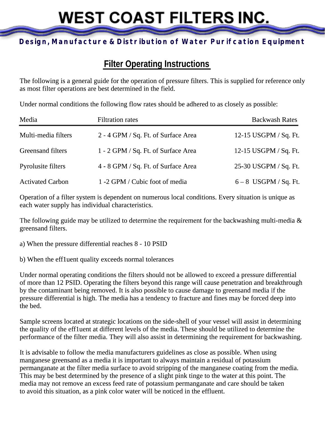# **WEST COAST FILTERS INC.**

### **Design, Manufacture & Distribution of Water Purifcation Equipment**

# **Filter Operating Instructions**

The following is a general guide for the operation of pressure filters. This is supplied for reference only as most filter operations are best determined in the field.

Under normal conditions the following flow rates should be adhered to as closely as possible:

| Media                   | <b>Filtration rates</b>             | <b>Backwash Rates</b> |
|-------------------------|-------------------------------------|-----------------------|
| Multi-media filters     | 2 - 4 GPM / Sq. Ft. of Surface Area | 12-15 USGPM / Sq. Ft. |
| Greensand filters       | 1 - 2 GPM / Sq. Ft. of Surface Area | 12-15 USGPM / Sq. Ft. |
| Pyrolusite filters      | 4 - 8 GPM / Sq. Ft. of Surface Area | 25-30 USGPM / Sq. Ft. |
| <b>Activated Carbon</b> | 1 -2 GPM / Cubic foot of media      | $6-8$ USGPM / Sq. Ft. |

Operation of a filter system is dependent on numerous local conditions. Every situation is unique as each water supply has individual characteristics.

The following guide may be utilized to determine the requirement for the backwashing multi-media  $\&$ greensand filters.

a) When the pressure differential reaches 8 - 10 PSID

b) When the eff1uent quality exceeds normal tolerances

Under normal operating conditions the filters should not be allowed to exceed a pressure differential of more than 12 PSID. Operating the filters beyond this range will cause penetration and breakthrough by the contaminant being removed. It is also possible to cause damage to greensand media if the pressure differential is high. The media has a tendency to fracture and fines may be forced deep into the bed.

Sample screens located at strategic locations on the side-shell of your vessel will assist in determining the quality of the eff1uent at different levels of the media. These should be utilized to determine the performance of the filter media. They will also assist in determining the requirement for backwashing.

It is advisable to follow the media manufacturers guidelines as close as possible. When using manganese greensand as a media it is important to always maintain a residual of potassium permanganate at the filter media surface to avoid stripping of the manganese coating from the media. This may be best determined by the presence of a slight pink tinge to the water at this point. The media may not remove an excess feed rate of potassium permanganate and care should be taken to avoid this situation, as a pink color water will be noticed in the effluent.